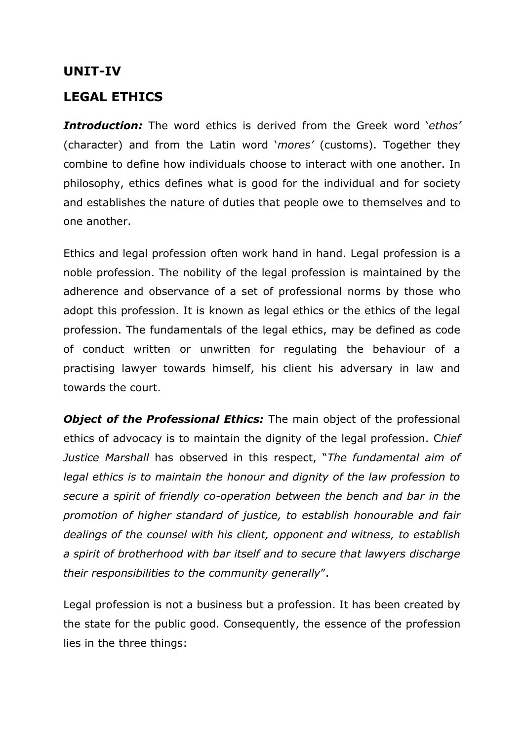# **UNIT-IV**

# **LEGAL ETHICS**

*Introduction:* The word ethics is derived from the Greek word '*ethos'* (character) and from the Latin word '*mores'* (customs). Together they combine to define how individuals choose to interact with one another. In philosophy, ethics defines what is good for the individual and for society and establishes the nature of duties that people owe to themselves and to one another.

Ethics and legal profession often work hand in hand. Legal profession is a noble profession. The nobility of the legal profession is maintained by the adherence and observance of a set of professional norms by those who adopt this profession. It is known as legal ethics or the ethics of the legal profession. The fundamentals of the legal ethics, may be defined as code of conduct written or unwritten for regulating the behaviour of a practising lawyer towards himself, his client his adversary in law and towards the court.

**Object of the Professional Ethics:** The main object of the professional ethics of advocacy is to maintain the dignity of the legal profession. C*hief Justice Marshall* has observed in this respect, "*The fundamental aim of legal ethics is to maintain the honour and dignity of the law profession to secure a spirit of friendly co-operation between the bench and bar in the promotion of higher standard of justice, to establish honourable and fair dealings of the counsel with his client, opponent and witness, to establish a spirit of brotherhood with bar itself and to secure that lawyers discharge their responsibilities to the community generally*".

Legal profession is not a business but a profession. It has been created by the state for the public good. Consequently, the essence of the profession lies in the three things: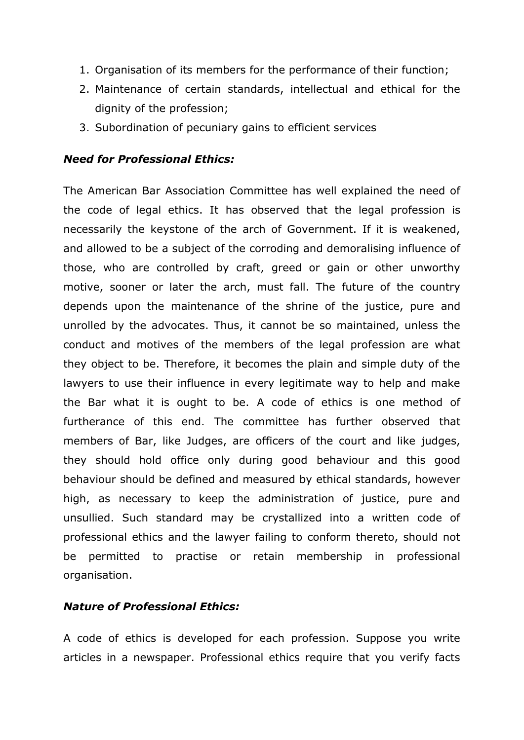- 1. Organisation of its members for the performance of their function;
- 2. Maintenance of certain standards, intellectual and ethical for the dignity of the profession;
- 3. Subordination of pecuniary gains to efficient services

#### *Need for Professional Ethics:*

The American Bar Association Committee has well explained the need of the code of legal ethics. It has observed that the legal profession is necessarily the keystone of the arch of Government. If it is weakened, and allowed to be a subject of the corroding and demoralising influence of those, who are controlled by craft, greed or gain or other unworthy motive, sooner or later the arch, must fall. The future of the country depends upon the maintenance of the shrine of the justice, pure and unrolled by the advocates. Thus, it cannot be so maintained, unless the conduct and motives of the members of the legal profession are what they object to be. Therefore, it becomes the plain and simple duty of the lawyers to use their influence in every legitimate way to help and make the Bar what it is ought to be. A code of ethics is one method of furtherance of this end. The committee has further observed that members of Bar, like Judges, are officers of the court and like judges, they should hold office only during good behaviour and this good behaviour should be defined and measured by ethical standards, however high, as necessary to keep the administration of justice, pure and unsullied. Such standard may be crystallized into a written code of professional ethics and the lawyer failing to conform thereto, should not be permitted to practise or retain membership in professional organisation.

#### *Nature of Professional Ethics:*

A code of ethics is developed for each profession. Suppose you write articles in a newspaper. Professional ethics require that you verify facts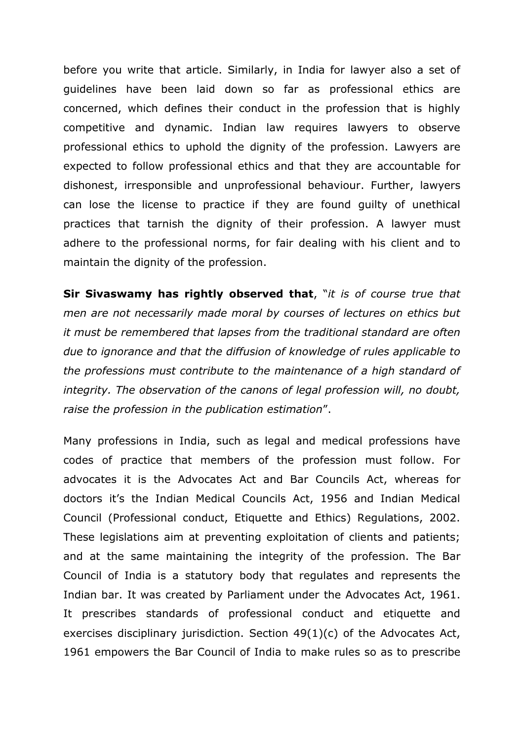before you write that article. Similarly, in India for lawyer also a set of guidelines have been laid down so far as professional ethics are concerned, which defines their conduct in the profession that is highly competitive and dynamic. Indian law requires lawyers to observe professional ethics to uphold the dignity of the profession. Lawyers are expected to follow professional ethics and that they are accountable for dishonest, irresponsible and unprofessional behaviour. Further, lawyers can lose the license to practice if they are found guilty of unethical practices that tarnish the dignity of their profession. A lawyer must adhere to the professional norms, for fair dealing with his client and to maintain the dignity of the profession.

**Sir Sivaswamy has rightly observed that**, "*it is of course true that men are not necessarily made moral by courses of lectures on ethics but it must be remembered that lapses from the traditional standard are often due to ignorance and that the diffusion of knowledge of rules applicable to the professions must contribute to the maintenance of a high standard of integrity. The observation of the canons of legal profession will, no doubt, raise the profession in the publication estimation*".

Many professions in India, such as legal and medical professions have codes of practice that members of the profession must follow. For advocates it is the Advocates Act and Bar Councils Act, whereas for doctors it's the Indian Medical Councils Act, 1956 and Indian Medical Council (Professional conduct, Etiquette and Ethics) Regulations, 2002. These legislations aim at preventing exploitation of clients and patients; and at the same maintaining the integrity of the profession. The Bar Council of India is a statutory body that regulates and represents the Indian bar. It was created by Parliament under the Advocates Act, 1961. It prescribes standards of professional conduct and etiquette and exercises disciplinary jurisdiction. Section 49(1)(c) of the Advocates Act, 1961 empowers the Bar Council of India to make rules so as to prescribe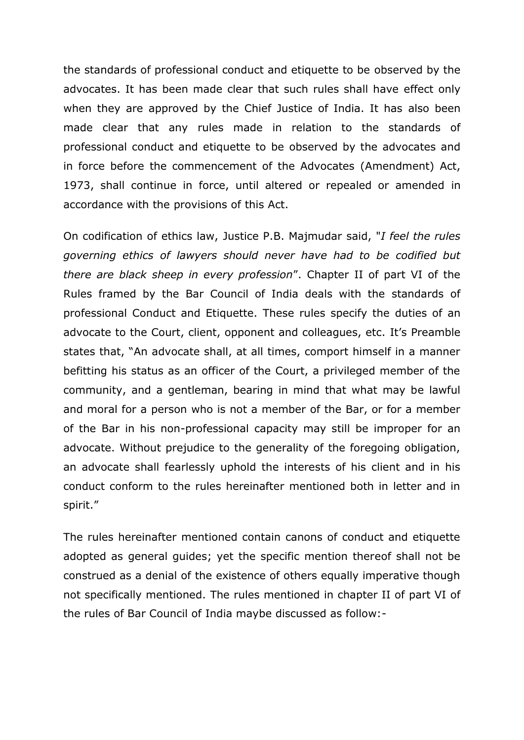the standards of professional conduct and etiquette to be observed by the advocates. It has been made clear that such rules shall have effect only when they are approved by the Chief Justice of India. It has also been made clear that any rules made in relation to the standards of professional conduct and etiquette to be observed by the advocates and in force before the commencement of the Advocates (Amendment) Act, 1973, shall continue in force, until altered or repealed or amended in accordance with the provisions of this Act.

On codification of ethics law, Justice P.B. Majmudar said, "*I feel the rules governing ethics of lawyers should never have had to be codified but there are black sheep in every profession*". Chapter II of part VI of the Rules framed by the Bar Council of India deals with the standards of professional Conduct and Etiquette. These rules specify the duties of an advocate to the Court, client, opponent and colleagues, etc. It's Preamble states that, "An advocate shall, at all times, comport himself in a manner befitting his status as an officer of the Court, a privileged member of the community, and a gentleman, bearing in mind that what may be lawful and moral for a person who is not a member of the Bar, or for a member of the Bar in his non-professional capacity may still be improper for an advocate. Without prejudice to the generality of the foregoing obligation, an advocate shall fearlessly uphold the interests of his client and in his conduct conform to the rules hereinafter mentioned both in letter and in spirit."

The rules hereinafter mentioned contain canons of conduct and etiquette adopted as general guides; yet the specific mention thereof shall not be construed as a denial of the existence of others equally imperative though not specifically mentioned. The rules mentioned in chapter II of part VI of the rules of Bar Council of India maybe discussed as follow:-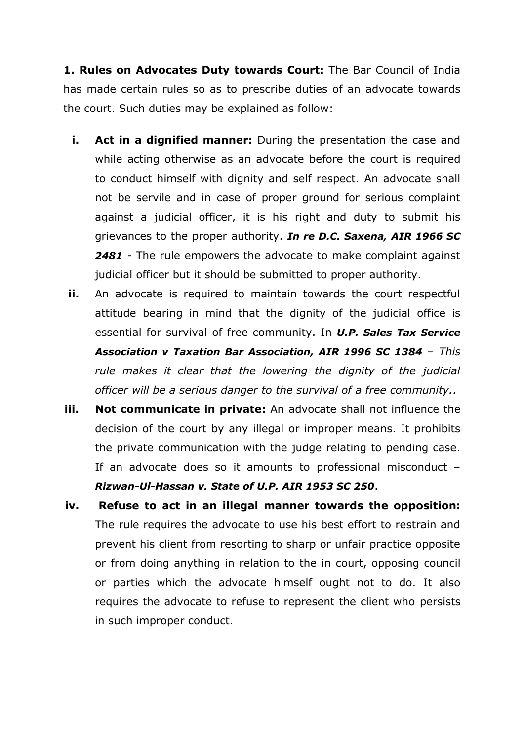**1. Rules on Advocates Duty towards Court:** The Bar Council of India has made certain rules so as to prescribe duties of an advocate towards the court. Such duties may be explained as follow:

- **i.** Act in a dignified manner: During the presentation the case and while acting otherwise as an advocate before the court is required to conduct himself with dignity and self respect. An advocate shall not be servile and in case of proper ground for serious complaint against a judicial officer, it is his right and duty to submit his grievances to the proper authority. *In re D.C. Saxena, AIR 1966 SC 2481 -* The rule empowers the advocate to make complaint against judicial officer but it should be submitted to proper authority.
- **ii.** An advocate is required to maintain towards the court respectful attitude bearing in mind that the dignity of the judicial office is essential for survival of free community. In *U.P. Sales Tax Service Association v Taxation Bar Association, AIR 1996 SC 1384 – This rule makes it clear that the lowering the dignity of the judicial officer will be a serious danger to the survival of a free community..*
- **iii. Not communicate in private:** An advocate shall not influence the decision of the court by any illegal or improper means. It prohibits the private communication with the judge relating to pending case. If an advocate does so it amounts to professional misconduct – *Rizwan-Ul-Hassan v. State of U.P. AIR 1953 SC 250*.
- **iv. Refuse to act in an illegal manner towards the opposition:** The rule requires the advocate to use his best effort to restrain and prevent his client from resorting to sharp or unfair practice opposite or from doing anything in relation to the in court, opposing council or parties which the advocate himself ought not to do. It also requires the advocate to refuse to represent the client who persists in such improper conduct.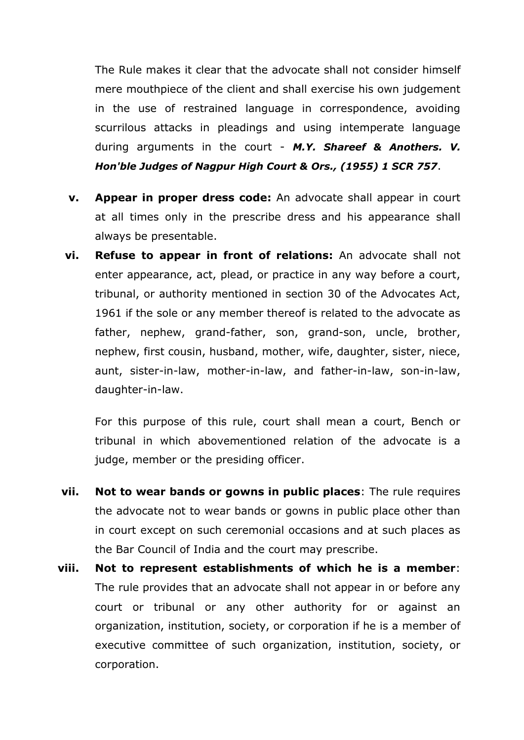The Rule makes it clear that the advocate shall not consider himself mere mouthpiece of the client and shall exercise his own judgement in the use of restrained language in correspondence, avoiding scurrilous attacks in pleadings and using intemperate language during arguments in the court - *M.Y. Shareef & Anothers. V. Hon'ble Judges of Nagpur High Court & Ors., (1955) 1 SCR 757*.

- **v. Appear in proper dress code:** An advocate shall appear in court at all times only in the prescribe dress and his appearance shall always be presentable.
- **vi. Refuse to appear in front of relations:** An advocate shall not enter appearance, act, plead, or practice in any way before a court, tribunal, or authority mentioned in section 30 of the Advocates Act, 1961 if the sole or any member thereof is related to the advocate as father, nephew, grand-father, son, grand-son, uncle, brother, nephew, first cousin, husband, mother, wife, daughter, sister, niece, aunt, sister-in-law, mother-in-law, and father-in-law, son-in-law, daughter-in-law.

For this purpose of this rule, court shall mean a court, Bench or tribunal in which abovementioned relation of the advocate is a judge, member or the presiding officer.

- **vii. Not to wear bands or gowns in public places**: The rule requires the advocate not to wear bands or gowns in public place other than in court except on such ceremonial occasions and at such places as the Bar Council of India and the court may prescribe.
- **viii. Not to represent establishments of which he is a member**: The rule provides that an advocate shall not appear in or before any court or tribunal or any other authority for or against an organization, institution, society, or corporation if he is a member of executive committee of such organization, institution, society, or corporation.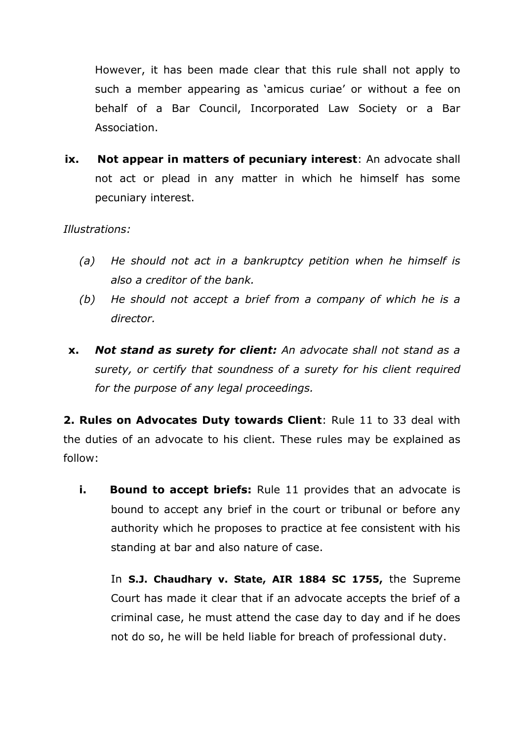However, it has been made clear that this rule shall not apply to such a member appearing as 'amicus curiae' or without a fee on behalf of a Bar Council, Incorporated Law Society or a Bar Association.

**ix. Not appear in matters of pecuniary interest**: An advocate shall not act or plead in any matter in which he himself has some pecuniary interest.

#### *Illustrations:*

- *(a) He should not act in a bankruptcy petition when he himself is also a creditor of the bank.*
- *(b) He should not accept a brief from a company of which he is a director.*
- **x.** *Not stand as surety for client: An advocate shall not stand as a surety, or certify that soundness of a surety for his client required for the purpose of any legal proceedings.*

**2. Rules on Advocates Duty towards Client**: Rule 11 to 33 deal with the duties of an advocate to his client. These rules may be explained as follow:

**i. Bound to accept briefs:** Rule 11 provides that an advocate is bound to accept any brief in the court or tribunal or before any authority which he proposes to practice at fee consistent with his standing at bar and also nature of case.

In **S.J. Chaudhary v. State, AIR 1884 SC 1755,** the Supreme Court has made it clear that if an advocate accepts the brief of a criminal case, he must attend the case day to day and if he does not do so, he will be held liable for breach of professional duty.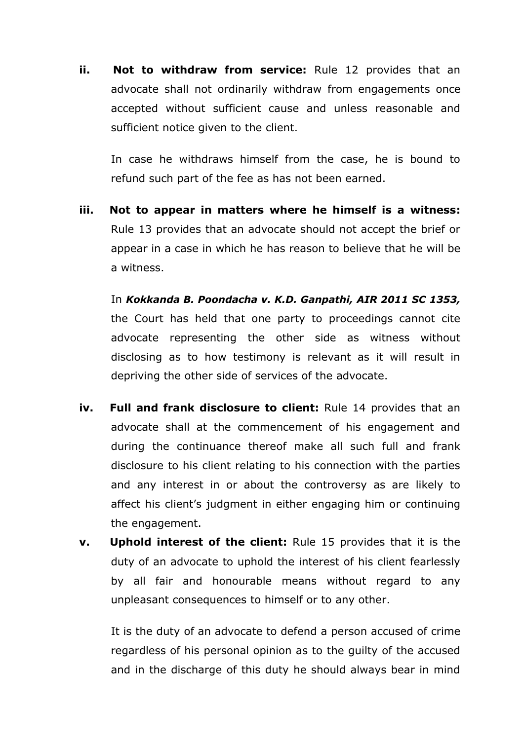**ii. Not to withdraw from service:** Rule 12 provides that an advocate shall not ordinarily withdraw from engagements once accepted without sufficient cause and unless reasonable and sufficient notice given to the client.

In case he withdraws himself from the case, he is bound to refund such part of the fee as has not been earned.

**iii. Not to appear in matters where he himself is a witness:** Rule 13 provides that an advocate should not accept the brief or appear in a case in which he has reason to believe that he will be a witness.

In *Kokkanda B. Poondacha v. K.D. Ganpathi, AIR 2011 SC 1353,* the Court has held that one party to proceedings cannot cite advocate representing the other side as witness without disclosing as to how testimony is relevant as it will result in depriving the other side of services of the advocate.

- **iv. Full and frank disclosure to client:** Rule 14 provides that an advocate shall at the commencement of his engagement and during the continuance thereof make all such full and frank disclosure to his client relating to his connection with the parties and any interest in or about the controversy as are likely to affect his client's judgment in either engaging him or continuing the engagement.
- **v. Uphold interest of the client:** Rule 15 provides that it is the duty of an advocate to uphold the interest of his client fearlessly by all fair and honourable means without regard to any unpleasant consequences to himself or to any other.

It is the duty of an advocate to defend a person accused of crime regardless of his personal opinion as to the guilty of the accused and in the discharge of this duty he should always bear in mind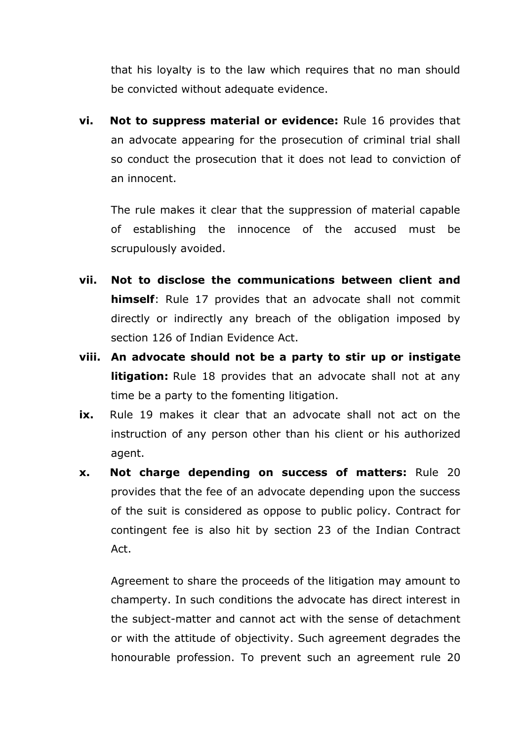that his loyalty is to the law which requires that no man should be convicted without adequate evidence.

**vi. Not to suppress material or evidence:** Rule 16 provides that an advocate appearing for the prosecution of criminal trial shall so conduct the prosecution that it does not lead to conviction of an innocent.

The rule makes it clear that the suppression of material capable of establishing the innocence of the accused must be scrupulously avoided.

- **vii. Not to disclose the communications between client and himself**: Rule 17 provides that an advocate shall not commit directly or indirectly any breach of the obligation imposed by section 126 of Indian Evidence Act.
- **viii. An advocate should not be a party to stir up or instigate litigation:** Rule 18 provides that an advocate shall not at any time be a party to the fomenting litigation.
- **ix.** Rule 19 makes it clear that an advocate shall not act on the instruction of any person other than his client or his authorized agent.
- **x. Not charge depending on success of matters:** Rule 20 provides that the fee of an advocate depending upon the success of the suit is considered as oppose to public policy. Contract for contingent fee is also hit by section 23 of the Indian Contract Act.

Agreement to share the proceeds of the litigation may amount to champerty. In such conditions the advocate has direct interest in the subject-matter and cannot act with the sense of detachment or with the attitude of objectivity. Such agreement degrades the honourable profession. To prevent such an agreement rule 20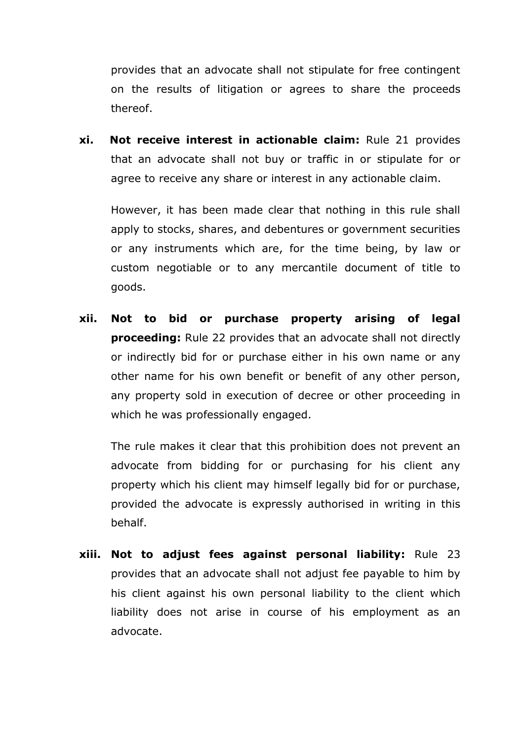provides that an advocate shall not stipulate for free contingent on the results of litigation or agrees to share the proceeds thereof.

**xi. Not receive interest in actionable claim:** Rule 21 provides that an advocate shall not buy or traffic in or stipulate for or agree to receive any share or interest in any actionable claim.

However, it has been made clear that nothing in this rule shall apply to stocks, shares, and debentures or government securities or any instruments which are, for the time being, by law or custom negotiable or to any mercantile document of title to goods.

**xii. Not to bid or purchase property arising of legal proceeding:** Rule 22 provides that an advocate shall not directly or indirectly bid for or purchase either in his own name or any other name for his own benefit or benefit of any other person, any property sold in execution of decree or other proceeding in which he was professionally engaged.

The rule makes it clear that this prohibition does not prevent an advocate from bidding for or purchasing for his client any property which his client may himself legally bid for or purchase, provided the advocate is expressly authorised in writing in this behalf.

**xiii. Not to adjust fees against personal liability:** Rule 23 provides that an advocate shall not adjust fee payable to him by his client against his own personal liability to the client which liability does not arise in course of his employment as an advocate.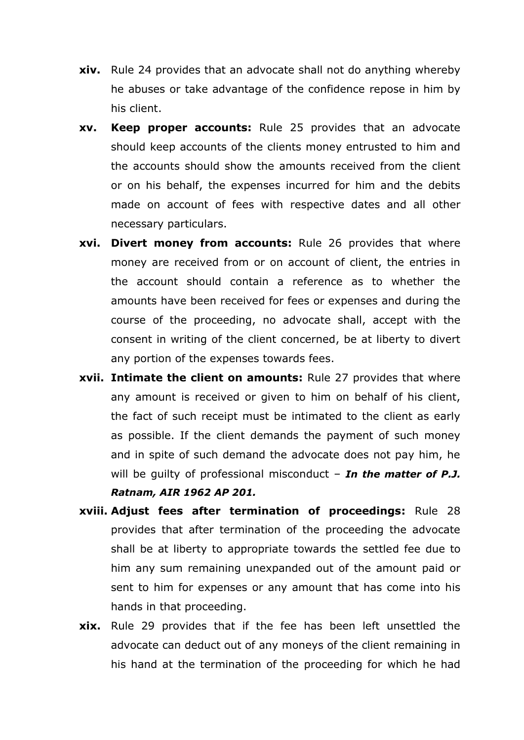- **xiv.** Rule 24 provides that an advocate shall not do anything whereby he abuses or take advantage of the confidence repose in him by his client.
- **xv. Keep proper accounts:** Rule 25 provides that an advocate should keep accounts of the clients money entrusted to him and the accounts should show the amounts received from the client or on his behalf, the expenses incurred for him and the debits made on account of fees with respective dates and all other necessary particulars.
- **xvi. Divert money from accounts:** Rule 26 provides that where money are received from or on account of client, the entries in the account should contain a reference as to whether the amounts have been received for fees or expenses and during the course of the proceeding, no advocate shall, accept with the consent in writing of the client concerned, be at liberty to divert any portion of the expenses towards fees.
- **xvii. Intimate the client on amounts:** Rule 27 provides that where any amount is received or given to him on behalf of his client, the fact of such receipt must be intimated to the client as early as possible. If the client demands the payment of such money and in spite of such demand the advocate does not pay him, he will be guilty of professional misconduct – *In the matter of P.J. Ratnam, AIR 1962 AP 201.*
- **xviii. Adjust fees after termination of proceedings:** Rule 28 provides that after termination of the proceeding the advocate shall be at liberty to appropriate towards the settled fee due to him any sum remaining unexpanded out of the amount paid or sent to him for expenses or any amount that has come into his hands in that proceeding.
- **xix.** Rule 29 provides that if the fee has been left unsettled the advocate can deduct out of any moneys of the client remaining in his hand at the termination of the proceeding for which he had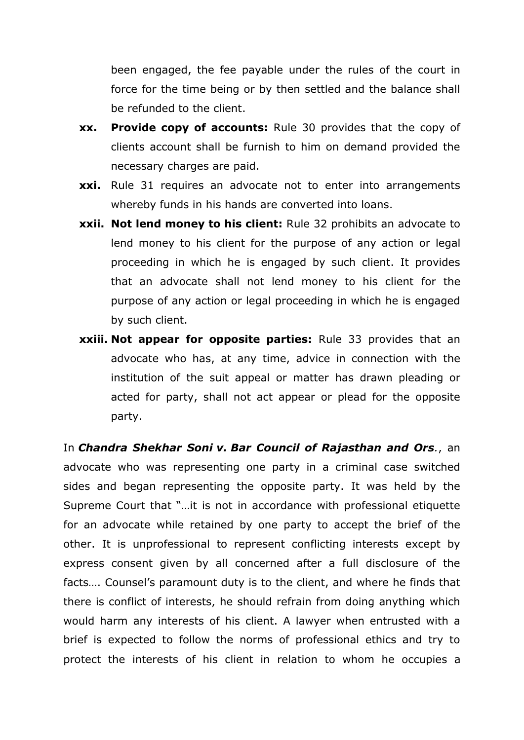been engaged, the fee payable under the rules of the court in force for the time being or by then settled and the balance shall be refunded to the client.

- **xx. Provide copy of accounts:** Rule 30 provides that the copy of clients account shall be furnish to him on demand provided the necessary charges are paid.
- **xxi.** Rule 31 requires an advocate not to enter into arrangements whereby funds in his hands are converted into loans.
- **xxii. Not lend money to his client:** Rule 32 prohibits an advocate to lend money to his client for the purpose of any action or legal proceeding in which he is engaged by such client. It provides that an advocate shall not lend money to his client for the purpose of any action or legal proceeding in which he is engaged by such client.
- **xxiii. Not appear for opposite parties:** Rule 33 provides that an advocate who has, at any time, advice in connection with the institution of the suit appeal or matter has drawn pleading or acted for party, shall not act appear or plead for the opposite party.

In *Chandra Shekhar Soni v. Bar Council of Rajasthan and Ors.*, an advocate who was representing one party in a criminal case switched sides and began representing the opposite party. It was held by the Supreme Court that "…it is not in accordance with professional etiquette for an advocate while retained by one party to accept the brief of the other. It is unprofessional to represent conflicting interests except by express consent given by all concerned after a full disclosure of the facts…. Counsel's paramount duty is to the client, and where he finds that there is conflict of interests, he should refrain from doing anything which would harm any interests of his client. A lawyer when entrusted with a brief is expected to follow the norms of professional ethics and try to protect the interests of his client in relation to whom he occupies a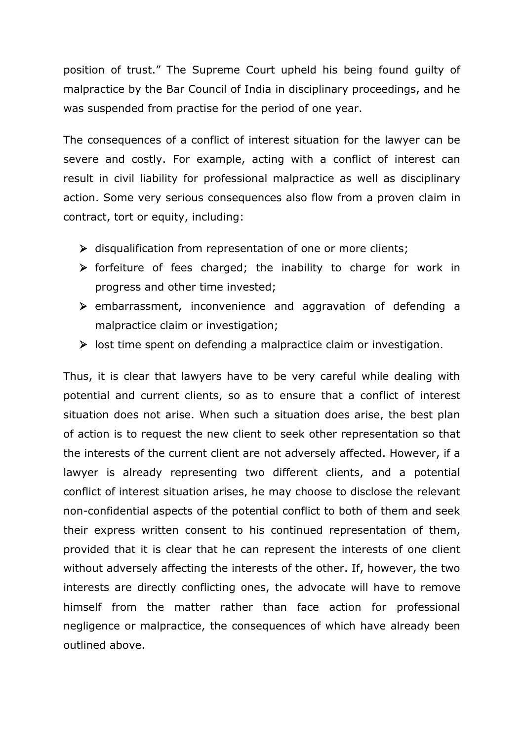position of trust." The Supreme Court upheld his being found guilty of malpractice by the Bar Council of India in disciplinary proceedings, and he was suspended from practise for the period of one year.

The consequences of a conflict of interest situation for the lawyer can be severe and costly. For example, acting with a conflict of interest can result in civil liability for professional malpractice as well as disciplinary action. Some very serious consequences also flow from a proven claim in contract, tort or equity, including:

- $\triangleright$  disqualification from representation of one or more clients;
- $\triangleright$  forfeiture of fees charged; the inability to charge for work in progress and other time invested;
- $\triangleright$  embarrassment, inconvenience and aggravation of defending a malpractice claim or investigation;
- $\triangleright$  lost time spent on defending a malpractice claim or investigation.

Thus, it is clear that lawyers have to be very careful while dealing with potential and current clients, so as to ensure that a conflict of interest situation does not arise. When such a situation does arise, the best plan of action is to request the new client to seek other representation so that the interests of the current client are not adversely affected. However, if a lawyer is already representing two different clients, and a potential conflict of interest situation arises, he may choose to disclose the relevant non-confidential aspects of the potential conflict to both of them and seek their express written consent to his continued representation of them, provided that it is clear that he can represent the interests of one client without adversely affecting the interests of the other. If, however, the two interests are directly conflicting ones, the advocate will have to remove himself from the matter rather than face action for professional negligence or malpractice, the consequences of which have already been outlined above.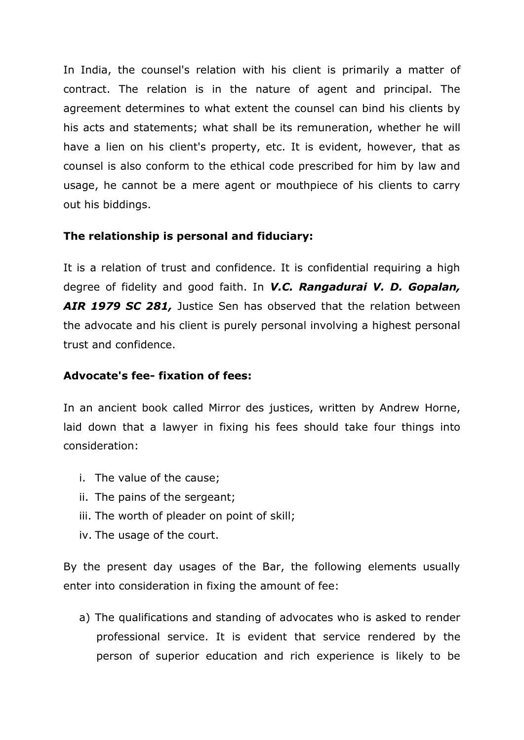In India, the counsel's relation with his client is primarily a matter of contract. The relation is in the nature of agent and principal. The agreement determines to what extent the counsel can bind his clients by his acts and statements; what shall be its remuneration, whether he will have a lien on his client's property, etc. It is evident, however, that as counsel is also conform to the ethical code prescribed for him by law and usage, he cannot be a mere agent or mouthpiece of his clients to carry out his biddings.

#### **The relationship is personal and fiduciary:**

It is a relation of trust and confidence. It is confidential requiring a high degree of fidelity and good faith. In *V.C. Rangadurai V. D. Gopalan, AIR 1979 SC 281,* Justice Sen has observed that the relation between the advocate and his client is purely personal involving a highest personal trust and confidence.

## **Advocate's fee- fixation of fees:**

In an ancient book called Mirror des justices, written by Andrew Horne, laid down that a lawyer in fixing his fees should take four things into consideration:

- i. The value of the cause;
- ii. The pains of the sergeant;
- iii. The worth of pleader on point of skill;
- iv. The usage of the court.

By the present day usages of the Bar, the following elements usually enter into consideration in fixing the amount of fee:

a) The qualifications and standing of advocates who is asked to render professional service. It is evident that service rendered by the person of superior education and rich experience is likely to be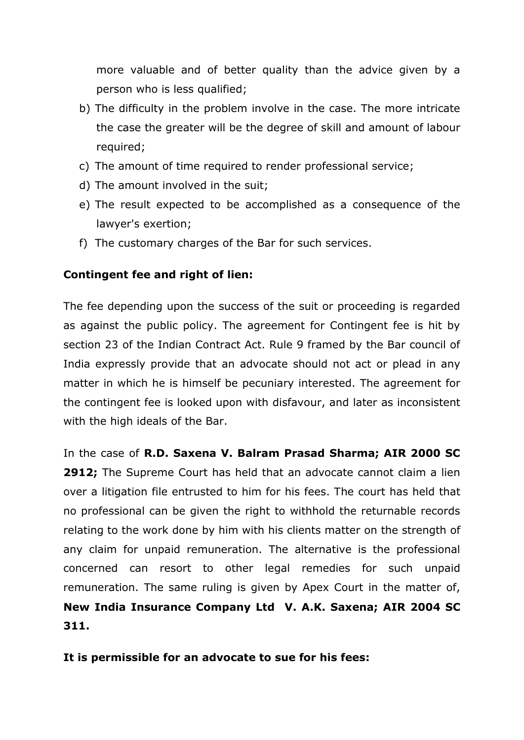more valuable and of better quality than the advice given by a person who is less qualified;

- b) The difficulty in the problem involve in the case. The more intricate the case the greater will be the degree of skill and amount of labour required;
- c) The amount of time required to render professional service;
- d) The amount involved in the suit;
- e) The result expected to be accomplished as a consequence of the lawyer's exertion;
- f) The customary charges of the Bar for such services.

#### **Contingent fee and right of lien:**

The fee depending upon the success of the suit or proceeding is regarded as against the public policy. The agreement for Contingent fee is hit by section 23 of the Indian Contract Act. Rule 9 framed by the Bar council of India expressly provide that an advocate should not act or plead in any matter in which he is himself be pecuniary interested. The agreement for the contingent fee is looked upon with disfavour, and later as inconsistent with the high ideals of the Bar.

In the case of **R.D. Saxena V. Balram Prasad Sharma; AIR 2000 SC 2912;** The Supreme Court has held that an advocate cannot claim a lien over a litigation file entrusted to him for his fees. The court has held that no professional can be given the right to withhold the returnable records relating to the work done by him with his clients matter on the strength of any claim for unpaid remuneration. The alternative is the professional concerned can resort to other legal remedies for such unpaid remuneration. The same ruling is given by Apex Court in the matter of, **New India Insurance Company Ltd V. A.K. Saxena; AIR 2004 SC 311.**

**It is permissible for an advocate to sue for his fees:**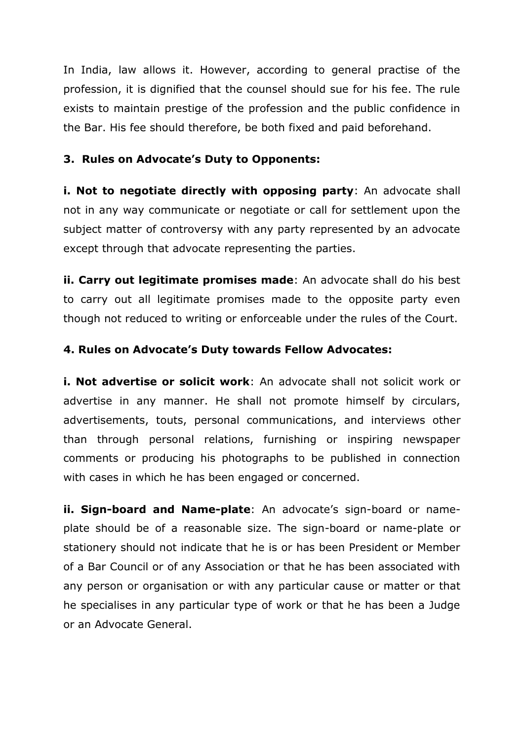In India, law allows it. However, according to general practise of the profession, it is dignified that the counsel should sue for his fee. The rule exists to maintain prestige of the profession and the public confidence in the Bar. His fee should therefore, be both fixed and paid beforehand.

## **3. Rules on Advocate's Duty to Opponents:**

**i. Not to negotiate directly with opposing party**: An advocate shall not in any way communicate or negotiate or call for settlement upon the subject matter of controversy with any party represented by an advocate except through that advocate representing the parties.

**ii. Carry out legitimate promises made**: An advocate shall do his best to carry out all legitimate promises made to the opposite party even though not reduced to writing or enforceable under the rules of the Court.

#### **4. Rules on Advocate's Duty towards Fellow Advocates:**

**i. Not advertise or solicit work**: An advocate shall not solicit work or advertise in any manner. He shall not promote himself by circulars, advertisements, touts, personal communications, and interviews other than through personal relations, furnishing or inspiring newspaper comments or producing his photographs to be published in connection with cases in which he has been engaged or concerned.

**ii. Sign-board and Name-plate**: An advocate's sign-board or nameplate should be of a reasonable size. The sign-board or name-plate or stationery should not indicate that he is or has been President or Member of a Bar Council or of any Association or that he has been associated with any person or organisation or with any particular cause or matter or that he specialises in any particular type of work or that he has been a Judge or an Advocate General.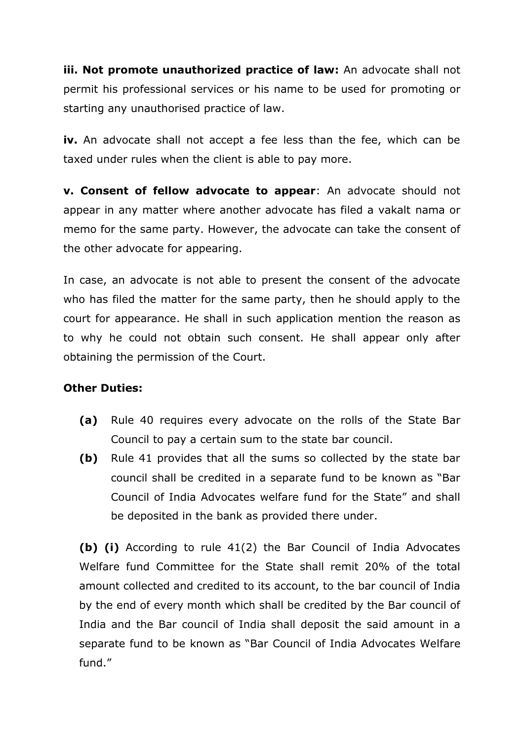**iii. Not promote unauthorized practice of law:** An advocate shall not permit his professional services or his name to be used for promoting or starting any unauthorised practice of law.

**iv.** An advocate shall not accept a fee less than the fee, which can be taxed under rules when the client is able to pay more.

**v. Consent of fellow advocate to appear**: An advocate should not appear in any matter where another advocate has filed a vakalt nama or memo for the same party. However, the advocate can take the consent of the other advocate for appearing.

In case, an advocate is not able to present the consent of the advocate who has filed the matter for the same party, then he should apply to the court for appearance. He shall in such application mention the reason as to why he could not obtain such consent. He shall appear only after obtaining the permission of the Court.

# **Other Duties:**

- **(a)** Rule 40 requires every advocate on the rolls of the State Bar Council to pay a certain sum to the state bar council.
- **(b)** Rule 41 provides that all the sums so collected by the state bar council shall be credited in a separate fund to be known as "Bar Council of India Advocates welfare fund for the State" and shall be deposited in the bank as provided there under.

**(b) (i)** According to rule 41(2) the Bar Council of India Advocates Welfare fund Committee for the State shall remit 20% of the total amount collected and credited to its account, to the bar council of India by the end of every month which shall be credited by the Bar council of India and the Bar council of India shall deposit the said amount in a separate fund to be known as "Bar Council of India Advocates Welfare fund."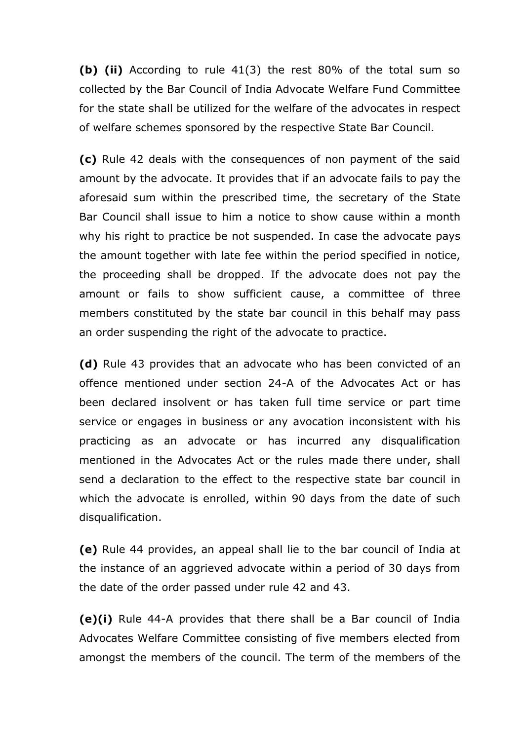**(b) (ii)** According to rule 41(3) the rest 80% of the total sum so collected by the Bar Council of India Advocate Welfare Fund Committee for the state shall be utilized for the welfare of the advocates in respect of welfare schemes sponsored by the respective State Bar Council.

**(c)** Rule 42 deals with the consequences of non payment of the said amount by the advocate. It provides that if an advocate fails to pay the aforesaid sum within the prescribed time, the secretary of the State Bar Council shall issue to him a notice to show cause within a month why his right to practice be not suspended. In case the advocate pays the amount together with late fee within the period specified in notice, the proceeding shall be dropped. If the advocate does not pay the amount or fails to show sufficient cause, a committee of three members constituted by the state bar council in this behalf may pass an order suspending the right of the advocate to practice.

**(d)** Rule 43 provides that an advocate who has been convicted of an offence mentioned under section 24-A of the Advocates Act or has been declared insolvent or has taken full time service or part time service or engages in business or any avocation inconsistent with his practicing as an advocate or has incurred any disqualification mentioned in the Advocates Act or the rules made there under, shall send a declaration to the effect to the respective state bar council in which the advocate is enrolled, within 90 days from the date of such disqualification.

**(e)** Rule 44 provides, an appeal shall lie to the bar council of India at the instance of an aggrieved advocate within a period of 30 days from the date of the order passed under rule 42 and 43.

**(e)(i)** Rule 44-A provides that there shall be a Bar council of India Advocates Welfare Committee consisting of five members elected from amongst the members of the council. The term of the members of the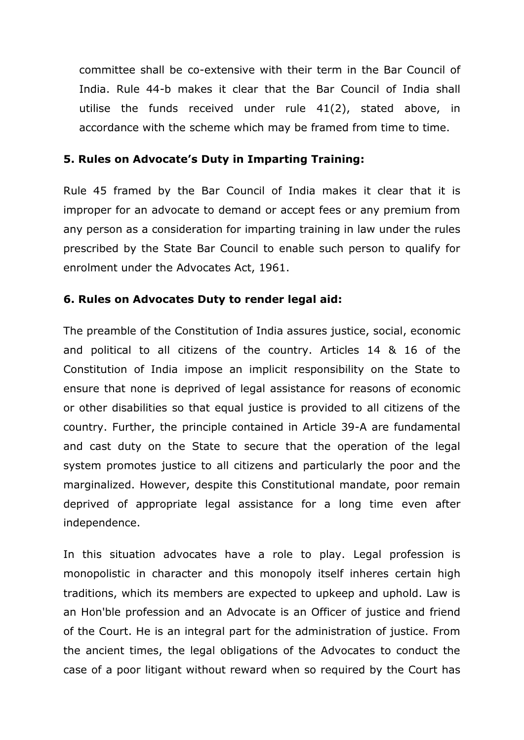committee shall be co-extensive with their term in the Bar Council of India. Rule 44-b makes it clear that the Bar Council of India shall utilise the funds received under rule 41(2), stated above, in accordance with the scheme which may be framed from time to time.

## **5. Rules on Advocate's Duty in Imparting Training:**

Rule 45 framed by the Bar Council of India makes it clear that it is improper for an advocate to demand or accept fees or any premium from any person as a consideration for imparting training in law under the rules prescribed by the State Bar Council to enable such person to qualify for enrolment under the Advocates Act, 1961.

# **6. Rules on Advocates Duty to render legal aid:**

The preamble of the Constitution of India assures justice, social, economic and political to all citizens of the country. Articles 14 & 16 of the Constitution of India impose an implicit responsibility on the State to ensure that none is deprived of legal assistance for reasons of economic or other disabilities so that equal justice is provided to all citizens of the country. Further, the principle contained in Article 39-A are fundamental and cast duty on the State to secure that the operation of the legal system promotes justice to all citizens and particularly the poor and the marginalized. However, despite this Constitutional mandate, poor remain deprived of appropriate legal assistance for a long time even after independence.

In this situation advocates have a role to play. Legal profession is monopolistic in character and this monopoly itself inheres certain high traditions, which its members are expected to upkeep and uphold. Law is an Hon'ble profession and an Advocate is an Officer of justice and friend of the Court. He is an integral part for the administration of justice. From the ancient times, the legal obligations of the Advocates to conduct the case of a poor litigant without reward when so required by the Court has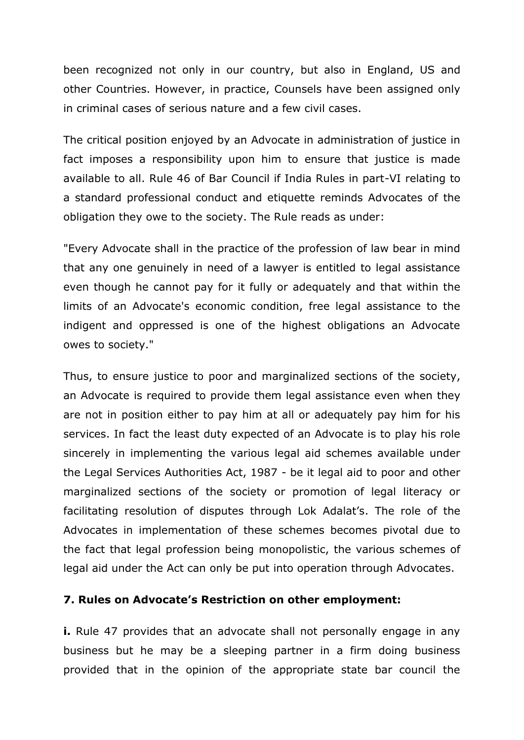been recognized not only in our country, but also in England, US and other Countries. However, in practice, Counsels have been assigned only in criminal cases of serious nature and a few civil cases.

The critical position enjoyed by an Advocate in administration of justice in fact imposes a responsibility upon him to ensure that justice is made available to all. Rule 46 of Bar Council if India Rules in part-VI relating to a standard professional conduct and etiquette reminds Advocates of the obligation they owe to the society. The Rule reads as under:

"Every Advocate shall in the practice of the profession of law bear in mind that any one genuinely in need of a lawyer is entitled to legal assistance even though he cannot pay for it fully or adequately and that within the limits of an Advocate's economic condition, free legal assistance to the indigent and oppressed is one of the highest obligations an Advocate owes to society."

Thus, to ensure justice to poor and marginalized sections of the society, an Advocate is required to provide them legal assistance even when they are not in position either to pay him at all or adequately pay him for his services. In fact the least duty expected of an Advocate is to play his role sincerely in implementing the various legal aid schemes available under the Legal Services Authorities Act, 1987 - be it legal aid to poor and other marginalized sections of the society or promotion of legal literacy or facilitating resolution of disputes through Lok Adalat's. The role of the Advocates in implementation of these schemes becomes pivotal due to the fact that legal profession being monopolistic, the various schemes of legal aid under the Act can only be put into operation through Advocates.

#### **7. Rules on Advocate's Restriction on other employment:**

**i.** Rule 47 provides that an advocate shall not personally engage in any business but he may be a sleeping partner in a firm doing business provided that in the opinion of the appropriate state bar council the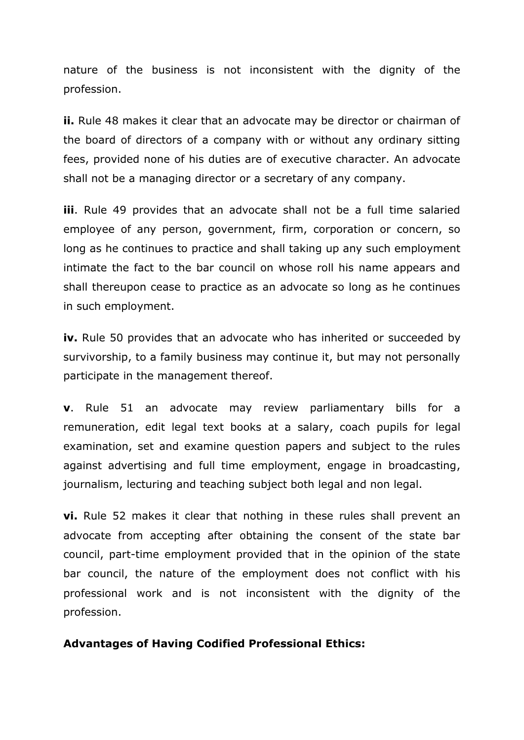nature of the business is not inconsistent with the dignity of the profession.

**ii.** Rule 48 makes it clear that an advocate may be director or chairman of the board of directors of a company with or without any ordinary sitting fees, provided none of his duties are of executive character. An advocate shall not be a managing director or a secretary of any company.

**iii**. Rule 49 provides that an advocate shall not be a full time salaried employee of any person, government, firm, corporation or concern, so long as he continues to practice and shall taking up any such employment intimate the fact to the bar council on whose roll his name appears and shall thereupon cease to practice as an advocate so long as he continues in such employment.

**iv.** Rule 50 provides that an advocate who has inherited or succeeded by survivorship, to a family business may continue it, but may not personally participate in the management thereof.

**v**. Rule 51 an advocate may review parliamentary bills for a remuneration, edit legal text books at a salary, coach pupils for legal examination, set and examine question papers and subject to the rules against advertising and full time employment, engage in broadcasting, journalism, lecturing and teaching subject both legal and non legal.

**vi.** Rule 52 makes it clear that nothing in these rules shall prevent an advocate from accepting after obtaining the consent of the state bar council, part-time employment provided that in the opinion of the state bar council, the nature of the employment does not conflict with his professional work and is not inconsistent with the dignity of the profession.

#### **Advantages of Having Codified Professional Ethics:**